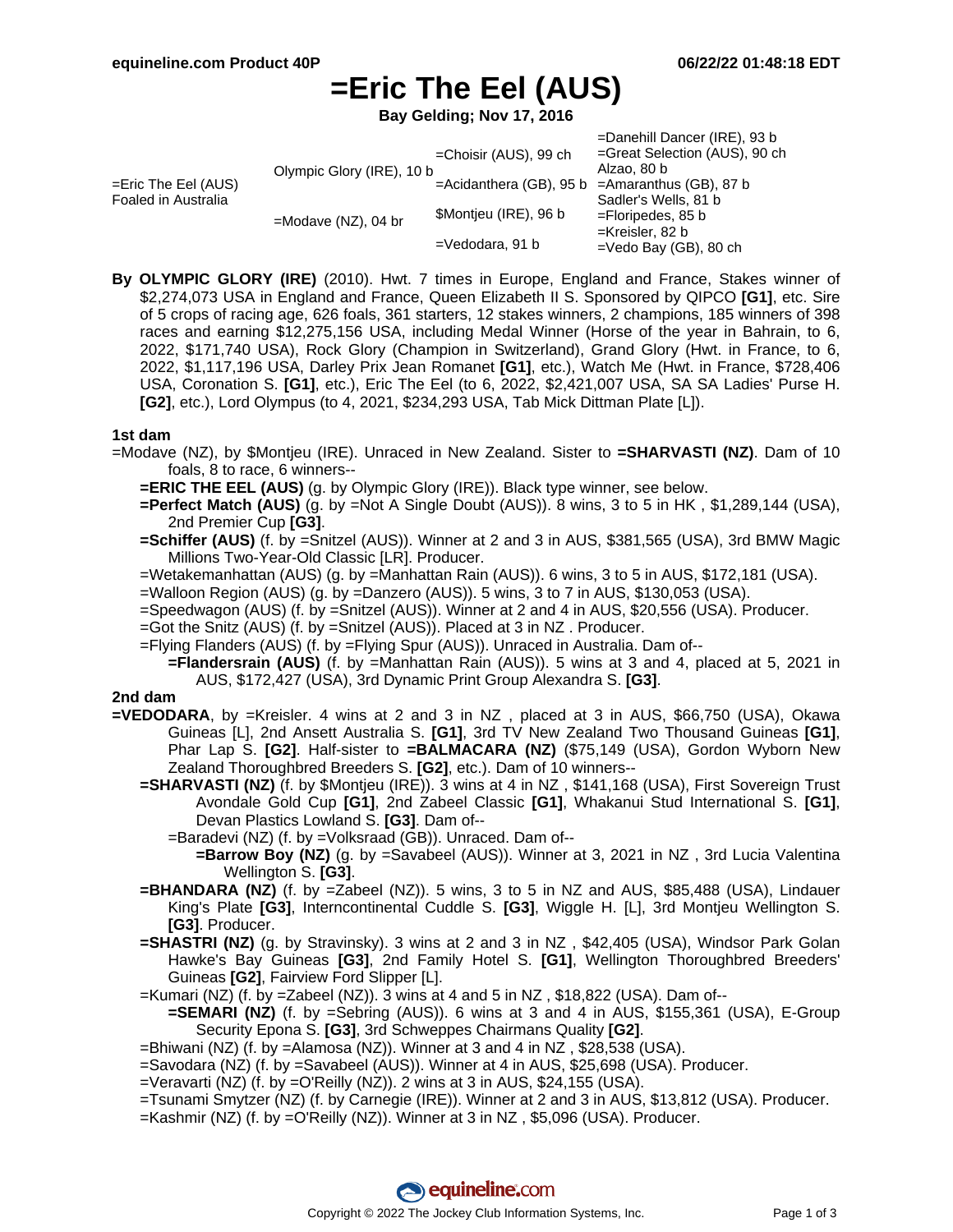# **=Eric The Eel (AUS)**

**Bay Gelding; Nov 17, 2016**

|                                            |                           |                          | =Danehill Dancer (IRE), 93 b                |
|--------------------------------------------|---------------------------|--------------------------|---------------------------------------------|
| =Eric The Eel (AUS)<br>Foaled in Australia | Olympic Glory (IRE), 10 b | $=$ Choisir (AUS), 99 ch | =Great Selection (AUS), 90 ch               |
|                                            |                           |                          | Alzao, 80 b                                 |
|                                            |                           | =Acidanthera (GB), 95 b  | $=$ Amaranthus (GB), 87 b                   |
|                                            | $=$ Modave (NZ), 04 br    |                          | Sadler's Wells, 81 b                        |
|                                            |                           | \$Montjeu (IRE), 96 b    | $=$ Floripedes, 85 b                        |
|                                            |                           |                          | =Kreisler, 82 b<br>$=$ Vedo Bay (GB), 80 ch |
|                                            |                           | $=$ Vedodara, 91 b       |                                             |

**By OLYMPIC GLORY (IRE)** (2010). Hwt. 7 times in Europe, England and France, Stakes winner of \$2,274,073 USA in England and France, Queen Elizabeth II S. Sponsored by QIPCO **[G1]**, etc. Sire of 5 crops of racing age, 626 foals, 361 starters, 12 stakes winners, 2 champions, 185 winners of 398 races and earning \$12,275,156 USA, including Medal Winner (Horse of the year in Bahrain, to 6, 2022, \$171,740 USA), Rock Glory (Champion in Switzerland), Grand Glory (Hwt. in France, to 6, 2022, \$1,117,196 USA, Darley Prix Jean Romanet **[G1]**, etc.), Watch Me (Hwt. in France, \$728,406 USA, Coronation S. **[G1]**, etc.), Eric The Eel (to 6, 2022, \$2,421,007 USA, SA SA Ladies' Purse H. **[G2]**, etc.), Lord Olympus (to 4, 2021, \$234,293 USA, Tab Mick Dittman Plate [L]).

### **1st dam**

- =Modave (NZ), by \$Montjeu (IRE). Unraced in New Zealand. Sister to **=SHARVASTI (NZ)**. Dam of 10 foals, 8 to race, 6 winners--
	- **=ERIC THE EEL (AUS)** (g. by Olympic Glory (IRE)). Black type winner, see below.
	- **=Perfect Match (AUS)** (g. by =Not A Single Doubt (AUS)). 8 wins, 3 to 5 in HK, \$1,289,144 (USA), 2nd Premier Cup **[G3]**.
	- **=Schiffer (AUS)** (f. by =Snitzel (AUS)). Winner at 2 and 3 in AUS, \$381,565 (USA), 3rd BMW Magic Millions Two-Year-Old Classic [LR]. Producer.
	- =Wetakemanhattan (AUS) (g. by =Manhattan Rain (AUS)). 6 wins, 3 to 5 in AUS, \$172,181 (USA).
	- =Walloon Region (AUS) (g. by =Danzero (AUS)). 5 wins, 3 to 7 in AUS, \$130,053 (USA).
	- =Speedwagon (AUS) (f. by =Snitzel (AUS)). Winner at 2 and 4 in AUS, \$20,556 (USA). Producer.
	- =Got the Snitz (AUS) (f. by =Snitzel (AUS)). Placed at 3 in NZ . Producer.
	- =Flying Flanders (AUS) (f. by =Flying Spur (AUS)). Unraced in Australia. Dam of--
		- **=Flandersrain (AUS)** (f. by =Manhattan Rain (AUS)). 5 wins at 3 and 4, placed at 5, 2021 in AUS, \$172,427 (USA), 3rd Dynamic Print Group Alexandra S. **[G3]**.

#### **2nd dam**

- **=VEDODARA**, by =Kreisler. 4 wins at 2 and 3 in NZ , placed at 3 in AUS, \$66,750 (USA), Okawa Guineas [L], 2nd Ansett Australia S. **[G1]**, 3rd TV New Zealand Two Thousand Guineas **[G1]**, Phar Lap S. **[G2]**. Half-sister to **=BALMACARA (NZ)** (\$75,149 (USA), Gordon Wyborn New Zealand Thoroughbred Breeders S. **[G2]**, etc.). Dam of 10 winners--
	- **=SHARVASTI (NZ)** (f. by \$Montjeu (IRE)). 3 wins at 4 in NZ , \$141,168 (USA), First Sovereign Trust Avondale Gold Cup **[G1]**, 2nd Zabeel Classic **[G1]**, Whakanui Stud International S. **[G1]**, Devan Plastics Lowland S. **[G3]**. Dam of--
		- =Baradevi (NZ) (f. by =Volksraad (GB)). Unraced. Dam of--
			- **=Barrow Boy (NZ)** (g. by =Savabeel (AUS)). Winner at 3, 2021 in NZ , 3rd Lucia Valentina Wellington S. **[G3]**.
	- **=BHANDARA (NZ)** (f. by =Zabeel (NZ)). 5 wins, 3 to 5 in NZ and AUS, \$85,488 (USA), Lindauer King's Plate **[G3]**, Interncontinental Cuddle S. **[G3]**, Wiggle H. [L], 3rd Montjeu Wellington S. **[G3]**. Producer.
	- **=SHASTRI (NZ)** (g. by Stravinsky). 3 wins at 2 and 3 in NZ, \$42,405 (USA), Windsor Park Golan Hawke's Bay Guineas **[G3]**, 2nd Family Hotel S. **[G1]**, Wellington Thoroughbred Breeders' Guineas **[G2]**, Fairview Ford Slipper [L].
	- =Kumari (NZ) (f. by =Zabeel (NZ)). 3 wins at 4 and 5 in NZ , \$18,822 (USA). Dam of--
		- **=SEMARI (NZ)** (f. by =Sebring (AUS)). 6 wins at 3 and 4 in AUS, \$155,361 (USA), E-Group Security Epona S. **[G3]**, 3rd Schweppes Chairmans Quality **[G2]**.
	- =Bhiwani (NZ) (f. by =Alamosa (NZ)). Winner at 3 and 4 in NZ , \$28,538 (USA).
	- =Savodara (NZ) (f. by =Savabeel (AUS)). Winner at 4 in AUS, \$25,698 (USA). Producer.
	- =Veravarti (NZ) (f. by =O'Reilly (NZ)). 2 wins at 3 in AUS, \$24,155 (USA).
	- =Tsunami Smytzer (NZ) (f. by Carnegie (IRE)). Winner at 2 and 3 in AUS, \$13,812 (USA). Producer.
	- =Kashmir (NZ) (f. by =O'Reilly (NZ)). Winner at 3 in NZ , \$5,096 (USA). Producer.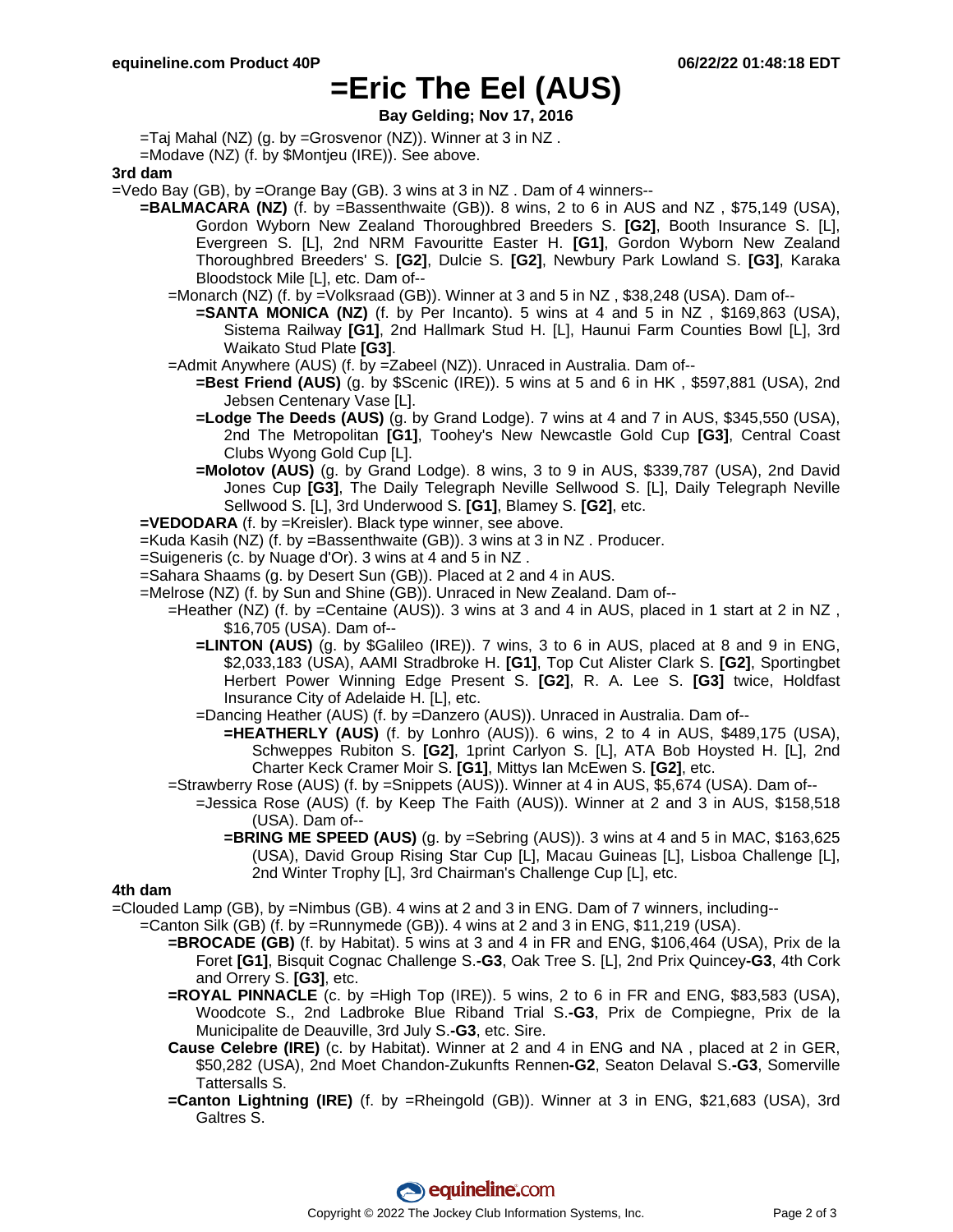## **=Eric The Eel (AUS)**

**Bay Gelding; Nov 17, 2016**

=Taj Mahal (NZ) (g. by =Grosvenor (NZ)). Winner at 3 in NZ .

=Modave (NZ) (f. by \$Montjeu (IRE)). See above.

**3rd dam**

=Vedo Bay (GB), by =Orange Bay (GB). 3 wins at 3 in NZ . Dam of 4 winners--

- **=BALMACARA (NZ)** (f. by =Bassenthwaite (GB)). 8 wins, 2 to 6 in AUS and NZ , \$75,149 (USA), Gordon Wyborn New Zealand Thoroughbred Breeders S. **[G2]**, Booth Insurance S. [L], Evergreen S. [L], 2nd NRM Favouritte Easter H. **[G1]**, Gordon Wyborn New Zealand Thoroughbred Breeders' S. **[G2]**, Dulcie S. **[G2]**, Newbury Park Lowland S. **[G3]**, Karaka Bloodstock Mile [L], etc. Dam of--
	- =Monarch (NZ) (f. by =Volksraad (GB)). Winner at 3 and 5 in NZ , \$38,248 (USA). Dam of--
		- **=SANTA MONICA (NZ)** (f. by Per Incanto). 5 wins at 4 and 5 in NZ , \$169,863 (USA), Sistema Railway **[G1]**, 2nd Hallmark Stud H. [L], Haunui Farm Counties Bowl [L], 3rd Waikato Stud Plate **[G3]**.
	- =Admit Anywhere (AUS) (f. by =Zabeel (NZ)). Unraced in Australia. Dam of--
		- **=Best Friend (AUS)** (g. by \$Scenic (IRE)). 5 wins at 5 and 6 in HK , \$597,881 (USA), 2nd Jebsen Centenary Vase [L].
		- **=Lodge The Deeds (AUS)** (g. by Grand Lodge). 7 wins at 4 and 7 in AUS, \$345,550 (USA), 2nd The Metropolitan **[G1]**, Toohey's New Newcastle Gold Cup **[G3]**, Central Coast Clubs Wyong Gold Cup [L].
		- **=Molotov (AUS)** (g. by Grand Lodge). 8 wins, 3 to 9 in AUS, \$339,787 (USA), 2nd David Jones Cup **[G3]**, The Daily Telegraph Neville Sellwood S. [L], Daily Telegraph Neville Sellwood S. [L], 3rd Underwood S. **[G1]**, Blamey S. **[G2]**, etc.

**=VEDODARA** (f. by =Kreisler). Black type winner, see above.

- =Kuda Kasih (NZ) (f. by =Bassenthwaite (GB)). 3 wins at 3 in NZ . Producer.
- =Suigeneris (c. by Nuage d'Or). 3 wins at 4 and 5 in NZ .
- =Sahara Shaams (g. by Desert Sun (GB)). Placed at 2 and 4 in AUS.
- =Melrose (NZ) (f. by Sun and Shine (GB)). Unraced in New Zealand. Dam of--
	- =Heather (NZ) (f. by =Centaine (AUS)). 3 wins at 3 and 4 in AUS, placed in 1 start at 2 in NZ , \$16,705 (USA). Dam of--
		- **=LINTON (AUS)** (g. by \$Galileo (IRE)). 7 wins, 3 to 6 in AUS, placed at 8 and 9 in ENG, \$2,033,183 (USA), AAMI Stradbroke H. **[G1]**, Top Cut Alister Clark S. **[G2]**, Sportingbet Herbert Power Winning Edge Present S. **[G2]**, R. A. Lee S. **[G3]** twice, Holdfast Insurance City of Adelaide H. [L], etc.
		- =Dancing Heather (AUS) (f. by =Danzero (AUS)). Unraced in Australia. Dam of--
			- **=HEATHERLY (AUS)** (f. by Lonhro (AUS)). 6 wins, 2 to 4 in AUS, \$489,175 (USA), Schweppes Rubiton S. **[G2]**, 1print Carlyon S. [L], ATA Bob Hoysted H. [L], 2nd Charter Keck Cramer Moir S. **[G1]**, Mittys Ian McEwen S. **[G2]**, etc.
	- =Strawberry Rose (AUS) (f. by =Snippets (AUS)). Winner at 4 in AUS, \$5,674 (USA). Dam of--
		- =Jessica Rose (AUS) (f. by Keep The Faith (AUS)). Winner at 2 and 3 in AUS, \$158,518 (USA). Dam of--
			- **=BRING ME SPEED (AUS)** (g. by =Sebring (AUS)). 3 wins at 4 and 5 in MAC, \$163,625 (USA), David Group Rising Star Cup [L], Macau Guineas [L], Lisboa Challenge [L], 2nd Winter Trophy [L], 3rd Chairman's Challenge Cup [L], etc.

#### **4th dam**

=Clouded Lamp (GB), by =Nimbus (GB). 4 wins at 2 and 3 in ENG. Dam of 7 winners, including--

- =Canton Silk (GB) (f. by =Runnymede (GB)). 4 wins at 2 and 3 in ENG, \$11,219 (USA).
	- **=BROCADE (GB)** (f. by Habitat). 5 wins at 3 and 4 in FR and ENG, \$106,464 (USA), Prix de la Foret **[G1]**, Bisquit Cognac Challenge S.**-G3**, Oak Tree S. [L], 2nd Prix Quincey**-G3**, 4th Cork and Orrery S. **[G3]**, etc.
	- **=ROYAL PINNACLE** (c. by =High Top (IRE)). 5 wins, 2 to 6 in FR and ENG, \$83,583 (USA), Woodcote S., 2nd Ladbroke Blue Riband Trial S.**-G3**, Prix de Compiegne, Prix de la Municipalite de Deauville, 3rd July S.**-G3**, etc. Sire.
	- **Cause Celebre (IRE)** (c. by Habitat). Winner at 2 and 4 in ENG and NA , placed at 2 in GER, \$50,282 (USA), 2nd Moet Chandon-Zukunfts Rennen**-G2**, Seaton Delaval S.**-G3**, Somerville Tattersalls S.
	- **=Canton Lightning (IRE)** (f. by =Rheingold (GB)). Winner at 3 in ENG, \$21,683 (USA), 3rd Galtres S.